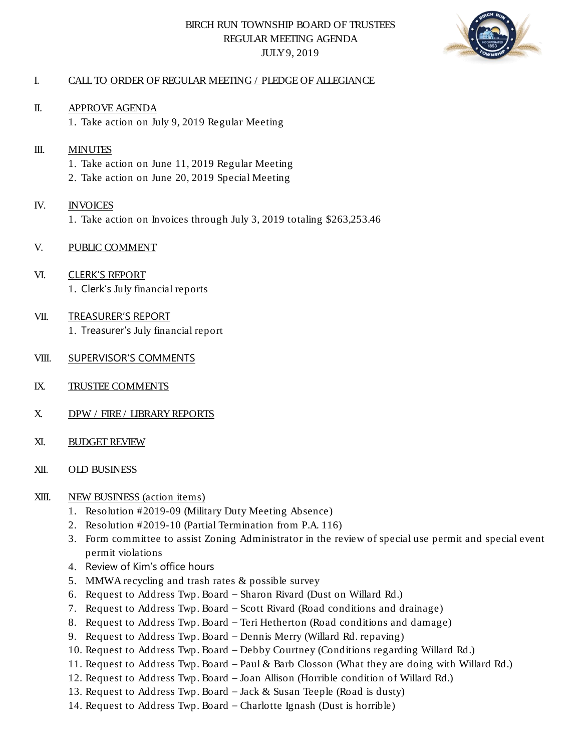# BIRCH RUN TOWNSHIP BOARD OF TRUSTEES REGULAR MEETING AGENDA JULY 9, 2019



# I. CALL TO ORDER OF REGULAR MEETING / PLEDGE OF ALLEGIANCE

II. APPROVE AGENDA 1. Take action on July 9, 2019 Regular Meeting

#### III. **MINUTES**

- 1. Take action on June 11, 2019 Regular Meeting
- 2. Take action on June 20, 2019 Special Meeting

# IV. INVOICES

1. Take action on Invoices through July 3, 2019 totaling \$263,253.46

# V. PUBLIC COMMENT

VI. CLERK'S REPORT 1. Clerk's July financial reports

#### VII. TREASURER'S REPORT 1. Treasurer's July financial report

- VIII. SUPERVISOR'S COMMENTS
- IX. TRUSTEE COMMENTS
- X. DPW / FIRE / LIBRARY REPORTS
- XI. BUDGET REVIEW
- XII. OLD BUSINESS

#### XIII. NEW BUSINESS (action items)

- 1. Resolution #2019-09 (Military Duty Meeting Absence)
- 2. Resolution #2019-10 (Partial Termination from P.A. 116)
- 3. Form committee to assist Zoning Administrator in the review of special use permit and special event permit violations
- 4. Review of Kim's office hours
- 5. MMWA recycling and trash rates & possible survey
- 6. Request to Address Twp. Board Sharon Rivard (Dust on Willard Rd.)
- 7. Request to Address Twp. Board Scott Rivard (Road conditions and drainage)
- 8. Request to Address Twp. Board Teri Hetherton (Road conditions and damage)
- 9. Request to Address Twp. Board Dennis Merry (Willard Rd. repaving)
- 10. Request to Address Twp. Board Debby Courtney (Conditions regarding Willard Rd.)
- 11. Request to Address Twp. Board Paul & Barb Closson (What they are doing with Willard Rd.)
- 12. Request to Address Twp. Board Joan Allison (Horrible condition of Willard Rd.)
- 13. Request to Address Twp. Board Jack & Susan Teeple (Road is dusty)
- 14. Request to Address Twp. Board Charlotte Ignash (Dust is horrible)